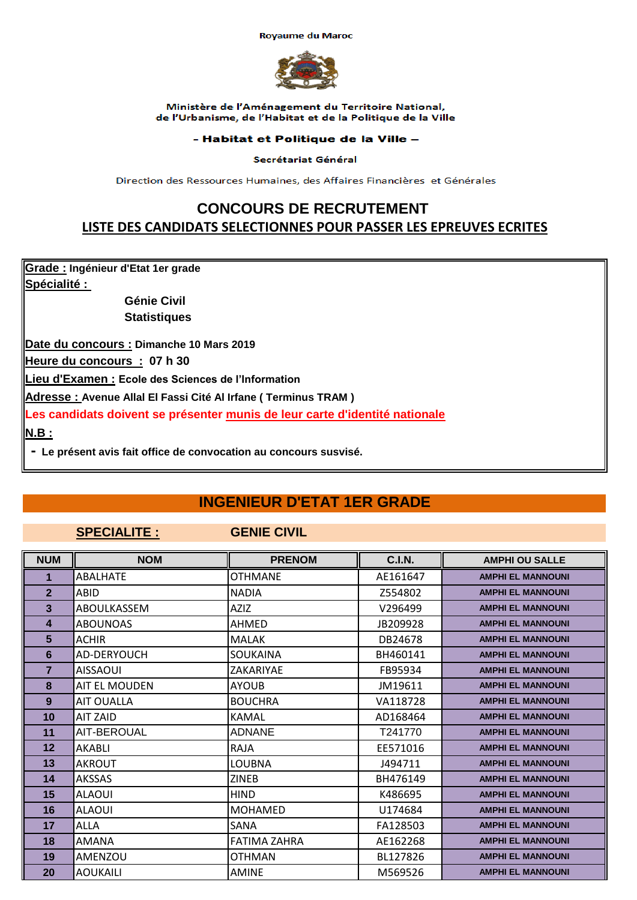**Royaume du Maroc** 



Ministère de l'Aménagement du Territoire National, de l'Urbanisme, de l'Habitat et de la Politique de la Ville

## - Habitat et Politique de la Ville -

## Secrétariat Général

Direction des Ressources Humaines, des Affaires Financières et Générales

# **CONCOURS DE RECRUTEMENT LISTE DES CANDIDATS SELECTIONNES POUR PASSER LES EPREUVES ECRITES**

**Grade : Ingénieur d'Etat 1er grade Spécialité :** 

> **Génie Civil Statistiques**

**Date du concours : Dimanche 10 Mars 2019**

**Heure du concours : 07 h 30**

**Lieu d'Examen : Ecole des Sciences de l'Information**

**Adresse : Avenue Allal El Fassi Cité Al Irfane ( Terminus TRAM )** 

**Les candidats doivent se présenter munis de leur carte d'identité nationale**

**N.B :**

 **- Le présent avis fait office de convocation au concours susvisé.**

# **INGENIEUR D'ETAT 1ER GRADE**

## **SPECIALITE : GENIE CIVIL**

| <b>NUM</b>     | <b>NOM</b>           | <b>PRENOM</b>       | <b>C.I.N.</b> | <b>AMPHI OU SALLE</b>    |
|----------------|----------------------|---------------------|---------------|--------------------------|
| 1              | ABALHATF             | OTHMANF             | AE161647      | <b>AMPHI EL MANNOUNI</b> |
| $\overline{2}$ | ABID                 | <b>NADIA</b>        | Z554802       | <b>AMPHI EL MANNOUNI</b> |
| 3              | ABOULKASSEM          | <b>AZIZ</b>         | V296499       | <b>AMPHI EL MANNOUNI</b> |
| 4              | <b>ABOUNOAS</b>      | AHMED               | JB209928      | <b>AMPHI EL MANNOUNI</b> |
| 5              | <b>ACHIR</b>         | <b>MALAK</b>        | DB24678       | <b>AMPHI EL MANNOUNI</b> |
| 6              | AD-DERYOUCH          | SOUKAINA            | BH460141      | <b>AMPHI EL MANNOUNI</b> |
| 7              | <b>AISSAOUI</b>      | ZAKARIYAE           | FB95934       | <b>AMPHI EL MANNOUNI</b> |
| 8              | <b>AIT EL MOUDEN</b> | <b>AYOUB</b>        | JM19611       | <b>AMPHI EL MANNOUNI</b> |
| 9              | AIT OUALLA           | <b>BOUCHRA</b>      | VA118728      | <b>AMPHI EL MANNOUNI</b> |
| 10             | <b>AIT ZAID</b>      | <b>KAMAL</b>        | AD168464      | <b>AMPHI EL MANNOUNI</b> |
| 11             | AIT-BEROUAL          | <b>ADNANE</b>       | T241770       | <b>AMPHI EL MANNOUNI</b> |
| 12             | AKABLI               | RAJA                | EE571016      | <b>AMPHI EL MANNOUNI</b> |
| 13             | <b>AKROUT</b>        | LOUBNA              | J494711       | <b>AMPHI EL MANNOUNI</b> |
| 14             | <b>AKSSAS</b>        | <b>ZINEB</b>        | BH476149      | <b>AMPHI EL MANNOUNI</b> |
| 15             | <b>ALAOUI</b>        | <b>HIND</b>         | K486695       | <b>AMPHI EL MANNOUNI</b> |
| 16             | <b>ALAOUI</b>        | <b>MOHAMED</b>      | U174684       | <b>AMPHI EL MANNOUNI</b> |
| 17             | <b>ALLA</b>          | SANA                | FA128503      | <b>AMPHI EL MANNOUNI</b> |
| 18             | <b>AMANA</b>         | <b>FATIMA ZAHRA</b> | AE162268      | <b>AMPHI EL MANNOUNI</b> |
| 19             | AMENZOU              | OTHMAN              | BL127826      | <b>AMPHI EL MANNOUNI</b> |
| 20             | <b>AOUKAILI</b>      | <b>AMINE</b>        | M569526       | <b>AMPHI EL MANNOUNI</b> |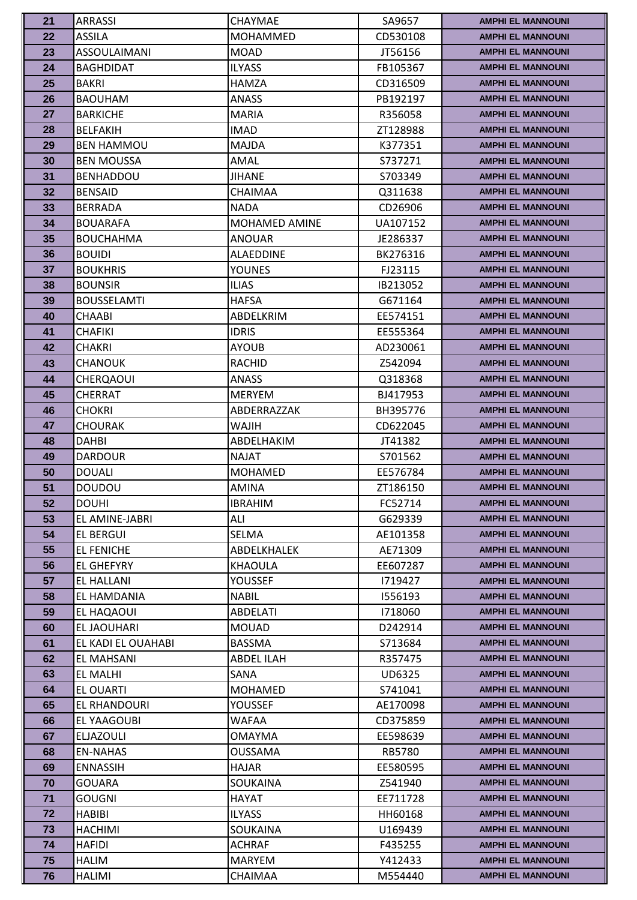| 21 | <b>ARRASSI</b>      | CHAYMAE              | SA9657        | <b>AMPHI EL MANNOUNI</b> |
|----|---------------------|----------------------|---------------|--------------------------|
| 22 | <b>ASSILA</b>       | <b>MOHAMMED</b>      | CD530108      | <b>AMPHI EL MANNOUNI</b> |
| 23 | <b>ASSOULAIMANI</b> | <b>MOAD</b>          | JT56156       | <b>AMPHI EL MANNOUNI</b> |
| 24 | <b>BAGHDIDAT</b>    | <b>ILYASS</b>        | FB105367      | <b>AMPHI EL MANNOUNI</b> |
| 25 | <b>BAKRI</b>        | <b>HAMZA</b>         | CD316509      | <b>AMPHI EL MANNOUNI</b> |
| 26 | <b>BAOUHAM</b>      | ANASS                | PB192197      | <b>AMPHI EL MANNOUNI</b> |
| 27 | <b>BARKICHE</b>     | <b>MARIA</b>         | R356058       | <b>AMPHI EL MANNOUNI</b> |
| 28 | <b>BELFAKIH</b>     | <b>IMAD</b>          | ZT128988      | <b>AMPHI EL MANNOUNI</b> |
| 29 | <b>BEN HAMMOU</b>   | <b>MAJDA</b>         | K377351       | <b>AMPHI EL MANNOUNI</b> |
| 30 | <b>BEN MOUSSA</b>   | AMAL                 | S737271       | <b>AMPHI EL MANNOUNI</b> |
| 31 | <b>BENHADDOU</b>    | <b>JIHANE</b>        | S703349       | <b>AMPHI EL MANNOUNI</b> |
| 32 | <b>BENSAID</b>      | <b>CHAIMAA</b>       | Q311638       | <b>AMPHI EL MANNOUNI</b> |
| 33 | <b>BERRADA</b>      | <b>NADA</b>          | CD26906       | <b>AMPHI EL MANNOUNI</b> |
| 34 | <b>BOUARAFA</b>     | <b>MOHAMED AMINE</b> | UA107152      | <b>AMPHI EL MANNOUNI</b> |
| 35 | <b>BOUCHAHMA</b>    | <b>ANOUAR</b>        | JE286337      | <b>AMPHI EL MANNOUNI</b> |
| 36 | <b>BOUIDI</b>       | <b>ALAEDDINE</b>     | BK276316      | <b>AMPHI EL MANNOUNI</b> |
| 37 | <b>BOUKHRIS</b>     | <b>YOUNES</b>        | FJ23115       | <b>AMPHI EL MANNOUNI</b> |
| 38 | <b>BOUNSIR</b>      | <b>ILIAS</b>         | IB213052      | <b>AMPHI EL MANNOUNI</b> |
| 39 | <b>BOUSSELAMTI</b>  | <b>HAFSA</b>         | G671164       | <b>AMPHI EL MANNOUNI</b> |
| 40 | CHAABI              | ABDELKRIM            | EE574151      | <b>AMPHI EL MANNOUNI</b> |
| 41 | <b>CHAFIKI</b>      | <b>IDRIS</b>         | EE555364      | <b>AMPHI EL MANNOUNI</b> |
| 42 | <b>CHAKRI</b>       | <b>AYOUB</b>         | AD230061      | <b>AMPHI EL MANNOUNI</b> |
| 43 | <b>CHANOUK</b>      | RACHID               | Z542094       | <b>AMPHI EL MANNOUNI</b> |
| 44 | <b>CHERQAOUI</b>    | <b>ANASS</b>         | Q318368       | <b>AMPHI EL MANNOUNI</b> |
| 45 | CHERRAT             | <b>MERYEM</b>        | BJ417953      | <b>AMPHI EL MANNOUNI</b> |
| 46 | <b>CHOKRI</b>       | ABDERRAZZAK          | BH395776      | <b>AMPHI EL MANNOUNI</b> |
| 47 | CHOURAK             | <b>HILAW</b>         | CD622045      | <b>AMPHI EL MANNOUNI</b> |
| 48 | <b>DAHBI</b>        | ABDELHAKIM           | JT41382       | <b>AMPHI EL MANNOUNI</b> |
| 49 | <b>DARDOUR</b>      | <b>NAJAT</b>         | S701562       | <b>AMPHI EL MANNOUNI</b> |
| 50 | <b>DOUALI</b>       | <b>MOHAMED</b>       | EE576784      | <b>AMPHI EL MANNOUNI</b> |
| 51 | <b>DOUDOU</b>       | <b>AMINA</b>         | ZT186150      | <b>AMPHI EL MANNOUNI</b> |
| 52 | <b>DOUHI</b>        | <b>IBRAHIM</b>       | FC52714       | <b>AMPHI EL MANNOUNI</b> |
| 53 | EL AMINE-JABRI      | ALI                  | G629339       | <b>AMPHI EL MANNOUNI</b> |
| 54 | <b>EL BERGUI</b>    | <b>SELMA</b>         | AE101358      | <b>AMPHI EL MANNOUNI</b> |
| 55 | <b>EL FENICHE</b>   | <b>ABDELKHALEK</b>   | AE71309       | <b>AMPHI EL MANNOUNI</b> |
| 56 | <b>EL GHEFYRY</b>   | <b>KHAOULA</b>       | EE607287      | <b>AMPHI EL MANNOUNI</b> |
| 57 | EL HALLANI          | YOUSSEF              | 1719427       | <b>AMPHI EL MANNOUNI</b> |
| 58 | EL HAMDANIA         | <b>NABIL</b>         | 1556193       | <b>AMPHI EL MANNOUNI</b> |
| 59 | EL HAQAOUI          | <b>ABDELATI</b>      | 1718060       | <b>AMPHI EL MANNOUNI</b> |
| 60 | <b>EL JAOUHARI</b>  | <b>MOUAD</b>         | D242914       | <b>AMPHI EL MANNOUNI</b> |
| 61 | EL KADI EL OUAHABI  | <b>BASSMA</b>        | S713684       | <b>AMPHI EL MANNOUNI</b> |
| 62 | EL MAHSANI          | <b>ABDEL ILAH</b>    | R357475       | <b>AMPHI EL MANNOUNI</b> |
| 63 | EL MALHI            | SANA                 | <b>UD6325</b> | <b>AMPHI EL MANNOUNI</b> |
| 64 | EL OUARTI           | <b>MOHAMED</b>       | S741041       | <b>AMPHI EL MANNOUNI</b> |
| 65 | EL RHANDOURI        | YOUSSEF              | AE170098      | <b>AMPHI EL MANNOUNI</b> |
| 66 | EL YAAGOUBI         | WAFAA                | CD375859      | <b>AMPHI EL MANNOUNI</b> |
| 67 | <b>ELJAZOULI</b>    | <b>OMAYMA</b>        | EE598639      | <b>AMPHI EL MANNOUNI</b> |
| 68 | <b>EN-NAHAS</b>     | <b>OUSSAMA</b>       | <b>RB5780</b> | <b>AMPHI EL MANNOUNI</b> |
| 69 | <b>ENNASSIH</b>     | <b>HAJAR</b>         | EE580595      | <b>AMPHI EL MANNOUNI</b> |
| 70 | <b>GOUARA</b>       | <b>SOUKAINA</b>      | Z541940       | <b>AMPHI EL MANNOUNI</b> |
| 71 | <b>GOUGNI</b>       | <b>HAYAT</b>         | EE711728      | <b>AMPHI EL MANNOUNI</b> |
| 72 | <b>HABIBI</b>       | <b>ILYASS</b>        | HH60168       | <b>AMPHI EL MANNOUNI</b> |
| 73 | <b>HACHIMI</b>      | <b>SOUKAINA</b>      | U169439       | <b>AMPHI EL MANNOUNI</b> |
| 74 | <b>HAFIDI</b>       | <b>ACHRAF</b>        | F435255       | <b>AMPHI EL MANNOUNI</b> |
| 75 | <b>HALIM</b>        | <b>MARYEM</b>        | Y412433       | <b>AMPHI EL MANNOUNI</b> |
| 76 | <b>HALIMI</b>       | CHAIMAA              | M554440       | <b>AMPHI EL MANNOUNI</b> |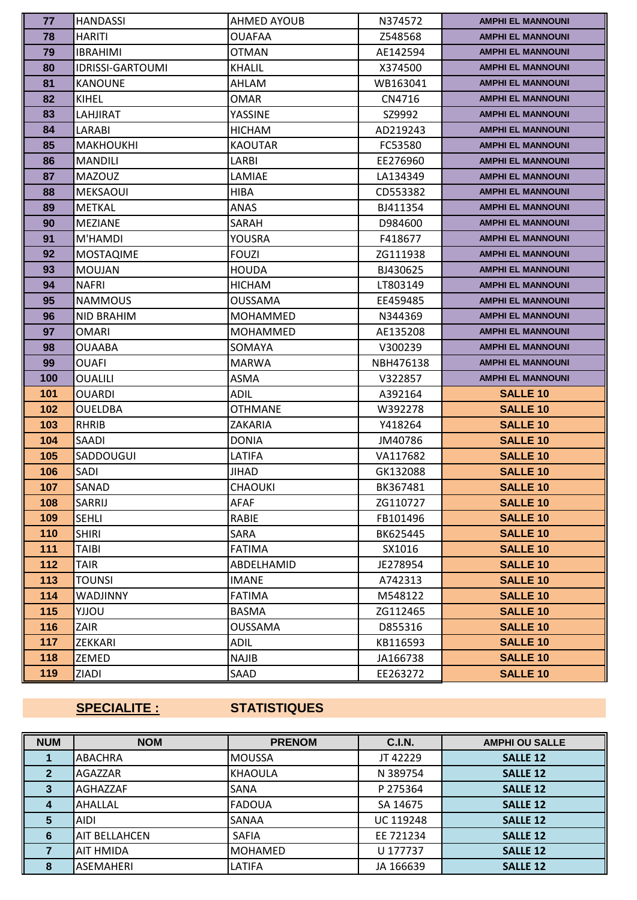| 77    | <b>HANDASSI</b>         | AHMED AYOUB     | N374572   | <b>AMPHI EL MANNOUNI</b> |
|-------|-------------------------|-----------------|-----------|--------------------------|
| 78    | <b>HARITI</b>           | <b>OUAFAA</b>   | Z548568   | <b>AMPHI EL MANNOUNI</b> |
| 79    | <b>IBRAHIMI</b>         | <b>OTMAN</b>    | AE142594  | <b>AMPHI EL MANNOUNI</b> |
| 80    | <b>IDRISSI-GARTOUMI</b> | <b>KHALIL</b>   | X374500   | <b>AMPHI EL MANNOUNI</b> |
| 81    | <b>KANOUNE</b>          | AHLAM           | WB163041  | <b>AMPHI EL MANNOUNI</b> |
| 82    | KIHEL                   | OMAR            | CN4716    | <b>AMPHI EL MANNOUNI</b> |
| 83    | LAHJIRAT                | YASSINE         | SZ9992    | <b>AMPHI EL MANNOUNI</b> |
| 84    | LARABI                  | <b>HICHAM</b>   | AD219243  | <b>AMPHI EL MANNOUNI</b> |
| 85    | <b>MAKHOUKHI</b>        | <b>KAOUTAR</b>  | FC53580   | <b>AMPHI EL MANNOUNI</b> |
| 86    | <b>MANDILI</b>          | LARBI           | EE276960  | <b>AMPHI EL MANNOUNI</b> |
| 87    | <b>MAZOUZ</b>           | LAMIAE          | LA134349  | <b>AMPHI EL MANNOUNI</b> |
| 88    | <b>MEKSAOUI</b>         | <b>HIBA</b>     | CD553382  | <b>AMPHI EL MANNOUNI</b> |
| 89    | <b>METKAL</b>           | ANAS            | BJ411354  | <b>AMPHI EL MANNOUNI</b> |
| 90    | <b>MEZIANE</b>          | SARAH           | D984600   | <b>AMPHI EL MANNOUNI</b> |
| 91    | M'HAMDI                 | YOUSRA          | F418677   | <b>AMPHI EL MANNOUNI</b> |
| 92    | <b>MOSTAQIME</b>        | <b>FOUZI</b>    | ZG111938  | <b>AMPHI EL MANNOUNI</b> |
| 93    | <b>MOUJAN</b>           | <b>HOUDA</b>    | BJ430625  | <b>AMPHI EL MANNOUNI</b> |
| 94    | <b>NAFRI</b>            | <b>HICHAM</b>   | LT803149  | <b>AMPHI EL MANNOUNI</b> |
| 95    | <b>NAMMOUS</b>          | OUSSAMA         | EE459485  | <b>AMPHI EL MANNOUNI</b> |
| 96    | NID BRAHIM              | <b>MOHAMMED</b> | N344369   | <b>AMPHI EL MANNOUNI</b> |
| 97    | <b>OMARI</b>            | <b>MOHAMMED</b> | AE135208  | <b>AMPHI EL MANNOUNI</b> |
| 98    | <b>OUAABA</b>           | SOMAYA          | V300239   | <b>AMPHI EL MANNOUNI</b> |
| 99    | <b>OUAFI</b>            | <b>MARWA</b>    | NBH476138 | <b>AMPHI EL MANNOUNI</b> |
| 100   | <b>OUALILI</b>          | ASMA            | V322857   | <b>AMPHI EL MANNOUNI</b> |
| 101   | OUARDI                  | ADIL            | A392164   | <b>SALLE 10</b>          |
| 102   | <b>OUELDBA</b>          | <b>OTHMANE</b>  | W392278   | <b>SALLE 10</b>          |
| 103   | <b>RHRIB</b>            | ZAKARIA         | Y418264   | <b>SALLE 10</b>          |
| 104   | SAADI                   | <b>DONIA</b>    | JM40786   | <b>SALLE 10</b>          |
| 105   | SADDOUGUI               | LATIFA          | VA117682  | <b>SALLE 10</b>          |
| 106   | SADI                    | JIHAD           | GK132088  | <b>SALLE 10</b>          |
| 107   | SANAD                   | <b>CHAOUKI</b>  | BK367481  | <b>SALLE 10</b>          |
| 108   | SARRIJ                  | AFAF            | ZG110727  | <b>SALLE 10</b>          |
| 109   | <b>SEHLI</b>            | RABIE           | FB101496  | <b>SALLE 10</b>          |
| 110   | <b>SHIRI</b>            | SARA            | BK625445  | <b>SALLE 10</b>          |
| 111   | TAIBI                   | <b>FATIMA</b>   | SX1016    | <b>SALLE 10</b>          |
| $112$ | <b>TAIR</b>             | ABDELHAMID      | JE278954  | <b>SALLE 10</b>          |
| 113   | TOUNSI                  | <b>IMANE</b>    | A742313   | <b>SALLE 10</b>          |
| 114   | WADJINNY                | <b>FATIMA</b>   | M548122   | <b>SALLE 10</b>          |
| 115   | VOLLY                   | BASMA           | ZG112465  | <b>SALLE 10</b>          |
| 116   | ZAIR                    | <b>OUSSAMA</b>  | D855316   | <b>SALLE 10</b>          |
| 117   | ZEKKARI                 | ADIL            | KB116593  | <b>SALLE 10</b>          |
| 118   | ZEMED                   | <b>NAJIB</b>    | JA166738  | <b>SALLE 10</b>          |
| 119   | ZIADI                   | SAAD            | EE263272  | <b>SALLE 10</b>          |

## **SPECIALITE : STATISTIQUES**

| <b>NUM</b>  | <b>NOM</b>       | <b>PRENOM</b>  | <b>C.I.N.</b> | <b>AMPHI OU SALLE</b> |
|-------------|------------------|----------------|---------------|-----------------------|
|             | ABACHRA          | <b>MOUSSA</b>  | JT 42229      | <b>SALLE 12</b>       |
| $\mathbf 2$ | AGAZZAR          | <b>KHAOULA</b> | N 389754      | <b>SALLE 12</b>       |
|             | <b>AGHAZZAF</b>  | SANA           | P 275364      | <b>SALLE 12</b>       |
|             | AHALLAL          | <b>FADOUA</b>  | SA 14675      | <b>SALLE 12</b>       |
| 5           | AIDI             | SANAA          | UC 119248     | <b>SALLE 12</b>       |
| 6           | IAIT BELLAHCEN   | <b>SAFIA</b>   | EE 721234     | <b>SALLE 12</b>       |
|             | <b>AIT HMIDA</b> | <b>MOHAMED</b> | U 177737      | <b>SALLE 12</b>       |
| 8           | <b>ASEMAHERI</b> | LATIFA         | JA 166639     | <b>SALLE 12</b>       |